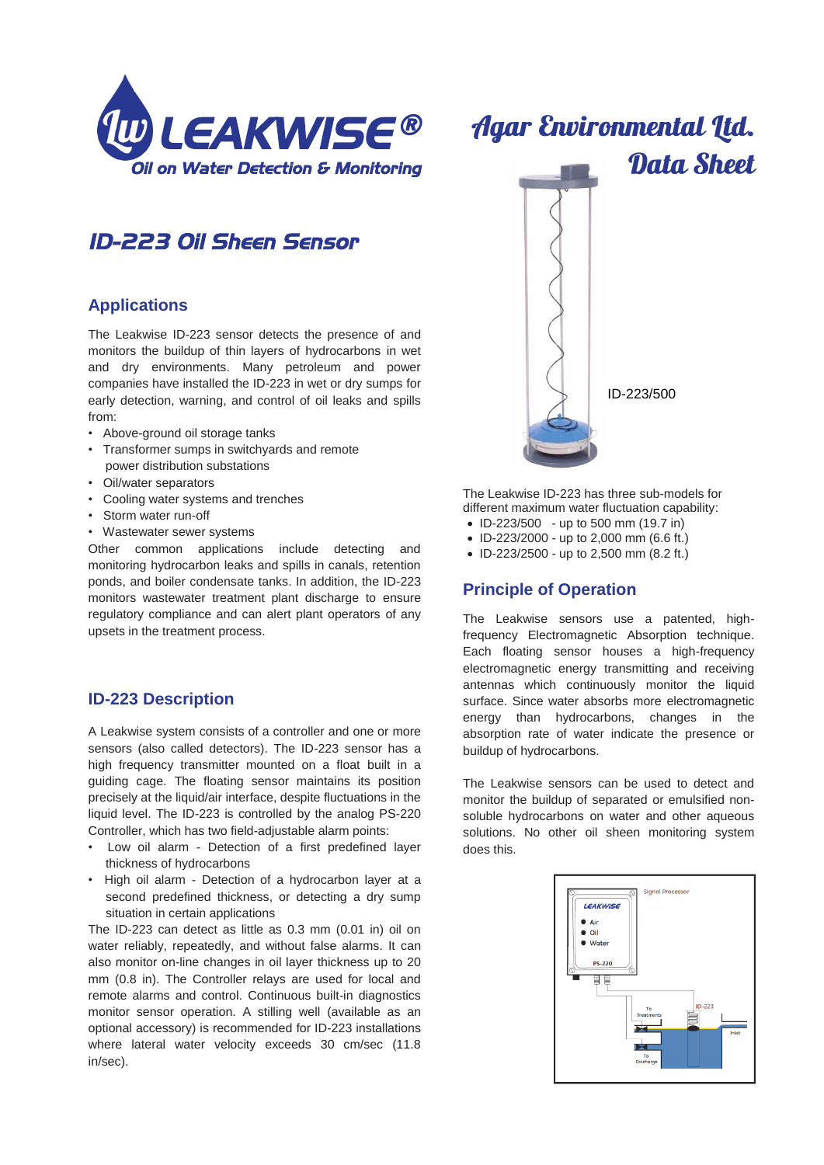

# *ID-223 Oil Sheen Sensor*

## **Applications**

The Leakwise ID-223 sensor detects the presence of and monitors the buildup of thin layers of hydrocarbons in wet and dry environments. Many petroleum and power companies have installed the ID-223 in wet or dry sumps for early detection, warning, and control of oil leaks and spills from:

- Above-ground oil storage tanks
- Transformer sumps in switchyards and remote power distribution substations
- Oil/water separators
- Cooling water systems and trenches
- Storm water run-off
- Wastewater sewer systems

Other common applications include detecting and monitoring hydrocarbon leaks and spills in canals, retention ponds, and boiler condensate tanks. In addition, the ID-223 monitors wastewater treatment plant discharge to ensure regulatory compliance and can alert plant operators of any upsets in the treatment process.

## **ID-223 Description**

A Leakwise system consists of a controller and one or more sensors (also called detectors). The ID-223 sensor has a high frequency transmitter mounted on a float built in a guiding cage. The floating sensor maintains its position precisely at the liquid/air interface, despite fluctuations in the liquid level. The ID-223 is controlled by the analog PS-220 Controller, which has two field-adjustable alarm points:

- Low oil alarm Detection of a first predefined layer thickness of hydrocarbons
- High oil alarm Detection of a hydrocarbon layer at a second predefined thickness, or detecting a dry sump situation in certain applications

The ID-223 can detect as little as 0.3 mm (0.01 in) oil on water reliably, repeatedly, and without false alarms. It can also monitor on-line changes in oil layer thickness up to 20 mm (0.8 in). The Controller relays are used for local and remote alarms and control. Continuous built-in diagnostics monitor sensor operation. A stilling well (available as an optional accessory) is recommended for ID-223 installations where lateral water velocity exceeds 30 cm/sec (11.8) in/sec).



The Leakwise ID-223 has three sub-models for different maximum water fluctuation capability:

- ID-223/500 up to 500 mm (19.7 in) • ID-223/2000 - up to 2,000 mm (6.6 ft.)
- ID-223/2500 up to 2,500 mm (8.2 ft.)

## **Principle of Operation**

The Leakwise sensors use a patented, highfrequency Electromagnetic Absorption technique. Each floating sensor houses a high-frequency electromagnetic energy transmitting and receiving antennas which continuously monitor the liquid surface. Since water absorbs more electromagnetic energy than hydrocarbons, changes in the absorption rate of water indicate the presence or buildup of hydrocarbons.

The Leakwise sensors can be used to detect and monitor the buildup of separated or emulsified nonsoluble hydrocarbons on water and other aqueous solutions. No other oil sheen monitoring system does this.